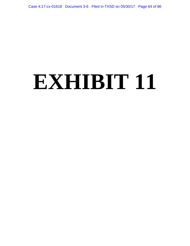# **EXHIBIT 11**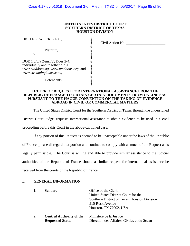#### **UNITED STATES DISTRICT COURT SOUTHERN DISTRICT OF TEXAS HOUSTON DIVISION**

| Civil Action No. |
|------------------|
|                  |
|                  |
|                  |
|                  |
|                  |
|                  |
|                  |
|                  |
|                  |
|                  |
|                  |
|                  |

#### **LETTER OF REQUEST FOR INTERNATIONAL ASSISTANCE FROM THE REPUBLIC OF FRANCE TO OBTAIN CERTAIN DOCUMENTS FROM ONLINE SAS PURSUANT TO THE HAGUE CONVENTION ON THE TAKING OF EVIDENCE ABROAD IN CIVIL OR COMMERCIAL MATTERS**

The United States District Court for the Southern District of Texas, through the undersigned

District Court Judge, requests international assistance to obtain evidence to be used in a civil proceeding before this Court in the above-captioned case.

If any portion of this Request is deemed to be unacceptable under the laws of the Republic

of France, please disregard that portion and continue to comply with as much of the Request as is

legally permissible. The Court is willing and able to provide similar assistance to the judicial

authorities of the Republic of France should a similar request for international assistance be

received from the courts of the Republic of France.

# **I. GENERAL INFORMATION**

| $\mathbf{1}$ . | Sender:                         | Office of the Clerk<br>United States District Court for the<br>Southern District of Texas, Houston Division |
|----------------|---------------------------------|-------------------------------------------------------------------------------------------------------------|
|                |                                 | 515 Rusk Avenue                                                                                             |
|                |                                 | Houston, TX 77002, USA                                                                                      |
| 2.             | <b>Central Authority of the</b> | Ministère de la Justice                                                                                     |
|                | <b>Requested State:</b>         | Direction des Affaires Civiles et du Sceau                                                                  |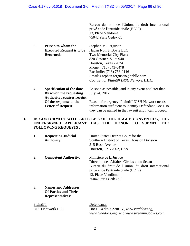Bureau du droit de l'Union, du droit international privé et de l'entraide civile (BDIP) 13, Place Vendôme 75042 Paris Cedex 01

| 3. | Person to whom the               | Stephen M. Ferguson                       |
|----|----------------------------------|-------------------------------------------|
|    | <b>Executed Request is to be</b> | Hagan Noll & Boyle LLC                    |
|    | <b>Returned:</b>                 | Two Memorial City Plaza                   |
|    |                                  | 820 Gessner, Suite 940                    |
|    |                                  | Houston, Texas 77024                      |
|    |                                  | Phone: (713) 343-0478                     |
|    |                                  | Facsimile: (713) 758-0146                 |
|    |                                  | Email: Stephen.ferguson@hnbllc.com        |
|    |                                  | Counsel for Plaintiff DISH Network L.L.C. |
|    |                                  |                                           |

4. **Specification of the date** As soon as possible, and in any event not later than **By which the requesting** July 24, 2017. **Authority requires receipt Of the response to the** Reason for urgency: Plaintiff DISH Network needs<br> **Letter of Request:** information sufficient to identify Defendant Doe 1 s information sufficient to identify Defendant Doe 1 so they can be named in the lawsuit and it can proceed.

# **II. IN CONFORMITY WITH ARTICLE 3 OF THE HAGUE CONVENTION, THE UNDERSIGNED APPLICANT HAS THE HONOR TO SUBMIT THE FOLLOWING REQUESTS** :

| 1. | <b>Requesting Judicial</b><br><b>Authority:</b>                                      | United States District Court for the<br>Southern District of Texas, Houston Division<br>515 Rusk Avenue                                                                                                          |
|----|--------------------------------------------------------------------------------------|------------------------------------------------------------------------------------------------------------------------------------------------------------------------------------------------------------------|
|    |                                                                                      | Houston, TX 77002, USA                                                                                                                                                                                           |
| 2. | <b>Competent Authority:</b>                                                          | Ministère de la Justice<br>Direction des Affaires Civiles et du Sceau<br>Bureau du droit de l'Union, du droit international<br>privé et de l'entraide civile (BDIP)<br>13, Place Vendôme<br>75042 Paris Cedex 01 |
| 3. | <b>Names and Addresses</b><br><b>Of Parties and Their</b><br><b>Representatives:</b> |                                                                                                                                                                                                                  |

| Plaintiff:              | Defendants:                                  |
|-------------------------|----------------------------------------------|
| <b>DISH Network LLC</b> | Does 1-4 d/b/a ZemTV, www.tvaddons.ag,       |
|                         | www.tvaddons.org, and www.streamingboxes.com |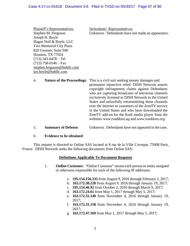Plaintiff's Representatives: Defendants' Representatives: Joseph H. Boyle Hagan Noll & Boyle, LLC Two Memorial City Plaza 820 Gessner, Suite 940 Houston, TX 77024 (713) 343-0478 – Tel  $(713)$  758-0146 – Fax stephen.ferguson@hnbllc.com joe.boyle@hnbllc.com

Stephen M. Ferguson Unknown. Defendants have not made an appearance.

- 4. **Nature of the Proceedings**: This is a civil suit seeking money damages and permanent injunctive relief. DISH Network asserts copyright infringement claims against Defendants who are capturing broadcasts of television channels exclusively licensed to DISH Network in the United States and unlawfully retransmitting those channels over the Internet to customers of the ZemTV service in the United States and who have downloaded the ZemTV add-on for the Kodi media player from the websites *www.tvaddons.ag* and *www.tvaddons.org.*
- 5. **Summary of Defense**: Unknown. Defendants have not appeared in the case.

## 6. **Evidence to be obtained**:

This request is directed to Online SAS located at 8 rue de la Ville L'eveque, 75008 Paris, France. DISH Network seeks the following documents from Online SAS:

#### **Definitions Applicable To Document Requests**

- 1. **Online Customer.** "Online Customer" means each person or entity assigned or otherwise responsible for each of the following IP addresses:
	- a. **195.154.156.235** from August 9, 2016 through February 2, 2017;
	- b. **163.172.30.228** from August 9, 2016 through January 19, 2017;
	- c. **195.154.46.92** from October 2, 2016 through March 9, 2017;
	- d. **163.172.24.61** from May 1, 2017 through May 5, 2017;
	- e. **163.172.31.140** from November 4, 2016 through January 19, 2017;
	- f. **163.172.31.158** from November 4, 2016 through January 19, 2017;
	- g. **163.172.47.169** from May 1, 2017 through May 5, 2017;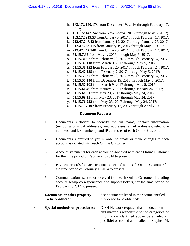- h. **163.172.140.173** from December 19, 2016 through February 17, 2017;
- i. **163.172.142.242** from November 4, 2016 through May 5, 2017;
- j. **163.172.219.53** from January 5, 2017 through February 17, 2017;
- k. **212.47.247.42** from January 19, 2017 through January 26, 2017;
- l. **212.47.233.115** from January 19, 2017 through May 5, 2017;
- m. **212.47.247.148** from January 5, 2017 through February 17, 2017;
- n. **51.15.7.65** from May 1, 2017 through May 5, 2017;
- o. **51.15.36.92** from February 20, 2017 through February 24, 2017;
- p. **51.15.37.118** from March 9, 2017 through May 5, 2017;
- q. **51.15.38.122** from February 20, 2017 through February 24, 2017;
- r. **51.15.42.135** from February 2, 2017 through May 5, 2017;
- s. **51.15.53.37** from February 20, 2017 through February 24, 2017;
- t. **51.15.55.140** from December 19, 2016 through May 5, 2017;
- u. **51.15.57.108** from March 9, 2017 through May 5, 2017;
- v. **51.15.60.46** from January 5, 2017 through January 26, 2017;
- w. **51.15.68.81** from May 23, 2017 through May 24, 2017;
- x. **51.15.69.13** from May 23, 2017 through May 24, 2017;
- y. **51.15.76.222** from May 23, 2017 through May 24, 2017;
- z. **51.15.137.107** from February 17, 2017 through April 7, 2017.

## **Document Requests**

- 1. Documents sufficient to identify the full name, contact information (including physical addresses, web addresses, email addresses, telephone numbers, and fax numbers), and IP addresses of each Online Customer.
- 2. Documents submitted to you in order to create or make changes to each account associated with each Online Customer.
- 3. Account statements for each account associated with each Online Customer for the time period of February 1, 2014 to present.
- 4. Payment records for each account associated with each Online Customer for the time period of February 1, 2014 to present.
- 5. Communications sent to or received from each Online Customer, including account set-up correspondence and support tickets, for the time period of February 1, 2014 to present.

|    | Documents or other property<br>To be produced: | See documents listed in the section entitled<br>"Evidence to be obtained".                                                                                                               |
|----|------------------------------------------------|------------------------------------------------------------------------------------------------------------------------------------------------------------------------------------------|
| 8. | <b>Special methods or procedures:</b>          | DISH Network requests that the documents<br>and materials responsive to the categories of<br>information identified above be emailed (if<br>possible) or copied and mailed to Stephen M. |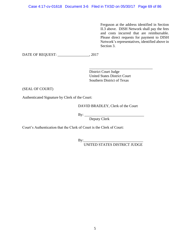Ferguson at the address identified in Section II.3 above. DISH Network shall pay the fees and costs incurred that are reimbursable. Please direct requests for payment to DISH Network's representatives, identified above in Section 3.

DATE OF REQUEST: \_\_\_\_\_\_\_\_\_\_\_\_\_\_\_\_\_, 2017

District Court Judge United States District Court Southern District of Texas

\_\_\_\_\_\_\_\_\_\_\_\_\_\_\_\_\_\_\_\_\_\_\_\_\_\_\_\_\_\_\_\_\_\_

(SEAL OF COURT)

Authenticated Signature by Clerk of the Court:

DAVID BRADLEY, Clerk of the Court

 $By:$ 

Deputy Clerk

Court's Authentication that the Clerk of Court is the Clerk of Court:

 $\text{By:}\qquad\qquad$ 

UNITED STATES DISTRICT JUDGE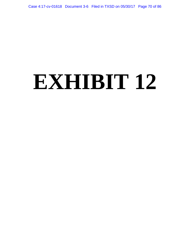# **EXHIBIT 12**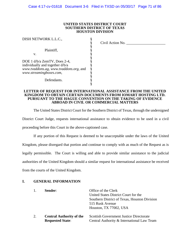#### **UNITED STATES DISTRICT COURT SOUTHERN DISTRICT OF TEXAS HOUSTON DIVISION**

| DISH NETWORK L.L.C.,                   |                  |
|----------------------------------------|------------------|
|                                        | Civil Action No. |
|                                        |                  |
| Plaintiff,                             |                  |
| v.                                     |                  |
|                                        |                  |
| DOE 1 d/b/a ZemTV, Does 2-4,           |                  |
| individually and together d/b/a        |                  |
| www.tvaddons.ag, www.tvaddons.org, and |                  |
| www.streamingboxes.com,                |                  |
|                                        |                  |
| Defendants.                            |                  |
|                                        |                  |
|                                        |                  |

#### **LETTER OF REQUEST FOR INTERNATIONAL ASSISTANCE FROM THE UNITED KINGDOM TO OBTAIN CERTAIN DOCUMENTS FROM IOMART HOSTING LTD. PURSUANT TO THE HAGUE CONVENTION ON THE TAKING OF EVIDENCE ABROAD IN CIVIL OR COMMERCIAL MATTERS**

The United States District Court for the Southern District of Texas, through the undersigned

District Court Judge, requests international assistance to obtain evidence to be used in a civil proceeding before this Court in the above-captioned case.

If any portion of this Request is deemed to be unacceptable under the laws of the United Kingdom, please disregard that portion and continue to comply with as much of the Request as is legally permissible. The Court is willing and able to provide similar assistance to the judicial authorities of the United Kingdom should a similar request for international assistance be received from the courts of the United Kingdom.

## **I. GENERAL INFORMATION**

| $\mathbf{1}$ . | Sender:                                                    | Office of the Clerk<br>United States District Court for the<br>Southern District of Texas, Houston Division<br>515 Rusk Avenue<br>Houston, TX 77002, USA |
|----------------|------------------------------------------------------------|----------------------------------------------------------------------------------------------------------------------------------------------------------|
| 2.             | <b>Central Authority of the</b><br><b>Requested State:</b> | <b>Scottish Government Justice Directorate</b><br>Central Authority & International Law Team                                                             |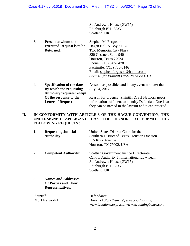St. Andrew's House (GW15) Edinburgh EH1 3DG Scotland, UK

3. **Person to whom the** Stephen M. Ferguson **Executed Request is to be** Hagan Noll & Boyle LLC **Returned:** Two Memorial City Plaza 820 Gessner, Suite 940 Houston, Texas 77024 Phone: (713) 343-0478 Facsimile: (713) 758-0146 Email: stephen.ferguson@hnbllc.com *Counsel for Plaintiff DISH Network L.L.C.* 4. **Specification of the date** As soon as possible, and in any event not later than

**By which the requesting** July 24, 2017. **Authority requires receipt Of the response to the** Reason for urgency: Plaintiff DISH Network needs<br> **Letter of Request:** information sufficient to identify Defendant Doe 1 s information sufficient to identify Defendant Doe 1 so they can be named in the lawsuit and it can proceed.

# **II. IN CONFORMITY WITH ARTICLE 3 OF THE HAGUE CONVENTION, THE UNDERSIGNED APPLICANT HAS THE HONOR TO SUBMIT THE FOLLOWING REQUESTS** :

| 1. | <b>Requesting Judicial</b><br><b>Authority:</b>           | United States District Court for the<br>Southern District of Texas, Houston Division<br>515 Rusk Avenue<br>Houston, TX 77002, USA                       |
|----|-----------------------------------------------------------|---------------------------------------------------------------------------------------------------------------------------------------------------------|
|    | <b>Competent Authority:</b>                               | Scottish Government Justice Directorate<br>Central Authority & International Law Team<br>St. Andrew's House (GW15)<br>Edinburgh EH1 3DG<br>Scotland, UK |
| 3. | <b>Names and Addresses</b><br><b>Of Parties and Their</b> |                                                                                                                                                         |

| Plaintiff:              | Defendants:                                  |
|-------------------------|----------------------------------------------|
| <b>DISH Network LLC</b> | Does 1-4 d/b/a ZemTV, www.tvaddons.ag,       |
|                         | www.tvaddons.org, and www.streamingboxes.com |

**Representatives**: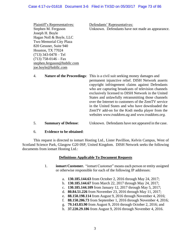Plaintiff's Representatives: Defendants' Representatives: Joseph H. Boyle Hagan Noll & Boyle, LLC Two Memorial City Plaza 820 Gessner, Suite 940 Houston, TX 77024 (713) 343-0478 – Tel  $(713)$  758-0146 – Fax stephen.ferguson@hnbllc.com joe.boyle@hnbllc.com

Stephen M. Ferguson Unknown. Defendants have not made an appearance.

- 4. **Nature of the Proceedings**: This is a civil suit seeking money damages and permanent injunctive relief. DISH Network asserts copyright infringement claims against Defendants who are capturing broadcasts of television channels exclusively licensed to DISH Network in the United States and unlawfully retransmitting those channels over the Internet to customers of the ZemTV service in the United States and who have downloaded the ZemTV add-on for the Kodi media player from the websites *www.tvaddons.ag* and *www.tvaddons.org.*
- 5. **Summary of Defense**: Unknown. Defendants have not appeared in the case.

## 6. **Evidence to be obtained**:

This request is directed to iomart Hosting Ltd., Lister Pavillion, Kelvin Campus, West of Scotland Science Park, Glasgow G20 0SP, United Kingdom. DISH Network seeks the following documents from iomart Hosting Ltd.:

## **Definitions Applicable To Document Requests**

- 1. **iomart Customer.** "iomart Customer" means each person or entity assigned or otherwise responsible for each of the following IP addresses:
	- a. **130.185.144.63** from October 2, 2016 through May 24, 2017;
	- b. **130.185.144.67** from March 22, 2017 through May 24, 2017;
	- c. **130.185.144.109** from January 12, 2017 through May 5, 2017;
	- d. **80.84.51.226** from November 23, 2016 through May 11, 2017;
	- e. **88.150.198.114** from August 9, 2016 through November 4, 2016;
	- f. **88.150.206.73** from September 1, 2016 through November 4, 2016;
	- g. **79.143.83.90** from August 9, 2016 through October 2, 2016; and
	- h. **37.220.29.186** from August 9, 2016 through November 4, 2016.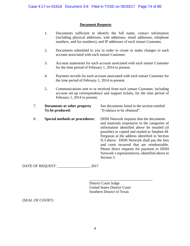# **Document Requests**

- 1. Documents sufficient to identify the full name, contact information (including physical addresses, web addresses, email addresses, telephone numbers, and fax numbers), and IP addresses of each iomart Customer.
- 2. Documents submitted to you in order to create or make changes to each account associated with each iomart Customer.
- 3. Account statements for each account associated with each iomart Customer for the time period of February 1, 2014 to present.
- 4. Payment records for each account associated with each iomart Customer for the time period of February 1, 2014 to present.
- 5. Communications sent to or received from each iomart Customer, including account set-up correspondence and support tickets, for the time period of February 1, 2014 to present.

| 7. | Documents or other property<br>To be produced: | See documents listed in the section entitled<br>"Evidence to be obtained".                                                                                                                                                                                                                                                                                                                                                                          |
|----|------------------------------------------------|-----------------------------------------------------------------------------------------------------------------------------------------------------------------------------------------------------------------------------------------------------------------------------------------------------------------------------------------------------------------------------------------------------------------------------------------------------|
| 8. | <b>Special methods or procedures:</b>          | DISH Network requests that the documents<br>and materials responsive to the categories of<br>information identified above be emailed (if<br>possible) or copied and mailed to Stephen M.<br>Ferguson at the address identified in Section<br>II.3 above. DISH Network shall pay the fees<br>and costs incurred that are reimbursable.<br>Please direct requests for payment to DISH<br>Network's representatives, identified above in<br>Section 3. |

DATE OF REQUEST: \_\_\_\_\_\_\_\_\_\_\_\_\_\_\_\_\_, 2017

District Court Judge United States District Court Southern District of Texas

\_\_\_\_\_\_\_\_\_\_\_\_\_\_\_\_\_\_\_\_\_\_\_\_\_\_\_\_\_\_\_\_\_\_

(SEAL OF COURT)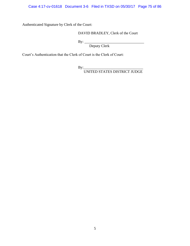Case 4:17-cv-01618 Document 3-6 Filed in TXSD on 05/30/17 Page 75 of 86

Authenticated Signature by Clerk of the Court:

# DAVID BRADLEY, Clerk of the Court

By: \_\_\_\_\_\_\_\_\_\_\_\_\_\_\_\_\_\_\_\_\_\_\_\_\_\_\_\_\_\_\_\_

Deputy Clerk

Court's Authentication that the Clerk of Court is the Clerk of Court:

By:\_\_\_\_\_\_\_\_\_\_\_\_\_\_\_\_\_\_\_\_\_\_\_\_\_\_\_\_\_\_\_\_

UNITED STATES DISTRICT JUDGE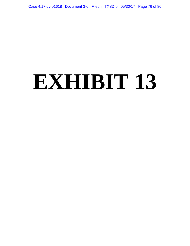# **EXHIBIT 13**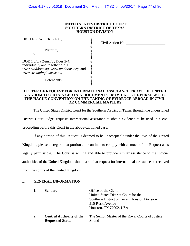#### **UNITED STATES DISTRICT COURT SOUTHERN DISTRICT OF TEXAS HOUSTON DIVISION**

| DISH NETWORK L.L.C.,                   |                  |
|----------------------------------------|------------------|
|                                        | Civil Action No. |
|                                        |                  |
| Plaintiff,                             |                  |
| v.                                     |                  |
|                                        |                  |
| DOE 1 d/b/a ZemTV, Does 2-4,           |                  |
| individually and together d/b/a        |                  |
| www.tvaddons.ag, www.tvaddons.org, and |                  |
| www.streamingboxes.com,                |                  |
|                                        |                  |
| Defendants.                            |                  |
|                                        |                  |
|                                        |                  |

#### **LETTER OF REQUEST FOR INTERNATIONAL ASSISTANCE FROM THE UNITED KINGDOM TO OBTAIN CERTAIN DOCUMENTS FROM UK-2 LTD. PURSUANT TO THE HAGUE CONVENTION ON THE TAKING OF EVIDENCE ABROAD IN CIVIL OR COMMERCIAL MATTERS**

The United States District Court for the Southern District of Texas, through the undersigned

District Court Judge, requests international assistance to obtain evidence to be used in a civil proceeding before this Court in the above-captioned case.

If any portion of this Request is deemed to be unacceptable under the laws of the United

Kingdom, please disregard that portion and continue to comply with as much of the Request as is

legally permissible. The Court is willing and able to provide similar assistance to the judicial

authorities of the United Kingdom should a similar request for international assistance be received

from the courts of the United Kingdom.

## **I. GENERAL INFORMATION**

| $\mathbf{1}$ . | Sender:                         | Office of the Clerk<br>United States District Court for the |
|----------------|---------------------------------|-------------------------------------------------------------|
|                |                                 | Southern District of Texas, Houston Division                |
|                |                                 | 515 Rusk Avenue                                             |
|                |                                 | Houston, TX 77002, USA                                      |
| 2.             | <b>Central Authority of the</b> | The Senior Master of the Royal Courts of Justice            |
|                | <b>Requested State:</b>         | Strand                                                      |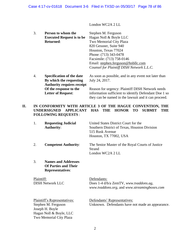London WC2A 2 LL

| 3. | Person to whom the                | Stephen M. Ferguson                                  |
|----|-----------------------------------|------------------------------------------------------|
|    | <b>Executed Request is to be</b>  | Hagan Noll & Boyle LLC                               |
|    | <b>Returned:</b>                  | Two Memorial City Plaza                              |
|    |                                   | 820 Gessner, Suite 940                               |
|    |                                   | Houston, Texas 77024                                 |
|    |                                   | Phone: (713) 343-0478                                |
|    |                                   | Facsimile: (713) 758-0146                            |
|    |                                   | Email: stephen.ferguson@hnbllc.com                   |
|    |                                   | Counsel for Plaintiff DISH Network L.L.C.            |
| 4. | <b>Specification of the date</b>  | As soon as possible, and in any event not later than |
|    | By which the requesting           | July 24, 2017.                                       |
|    | <b>Authority requires receipt</b> |                                                      |

**Of the response to the** Reason for urgency: Plaintiff DISH Network needs **Letter of Request:** information sufficient to identify Defendant Doe 1 so they can be named in the lawsuit and it can proceed.

# **II. IN CONFORMITY WITH ARTICLE 3 OF THE HAGUE CONVENTION, THE UNDERSIGNED APPLICANT HAS THE HONOR TO SUBMIT THE FOLLOWING REQUESTS** :

| 1.                                                                                                                           | <b>Requesting Judicial</b><br><b>Authority:</b>                                      | United States District Court for the<br>Southern District of Texas, Houston Division<br>515 Rusk Avenue<br>Houston, TX 77002, USA |
|------------------------------------------------------------------------------------------------------------------------------|--------------------------------------------------------------------------------------|-----------------------------------------------------------------------------------------------------------------------------------|
| 2.                                                                                                                           | <b>Competent Authority:</b>                                                          | The Senior Master of the Royal Courts of Justice<br>Strand<br>London WC2A 2 LL                                                    |
| 3.                                                                                                                           | <b>Names and Addresses</b><br><b>Of Parties and Their</b><br><b>Representatives:</b> |                                                                                                                                   |
| Plaintiff:<br><b>DISH Network LLC</b>                                                                                        |                                                                                      | Defendants:<br>Does 1-4 d/b/a ZemTV, www.tvaddons.ag,<br>www.tvaddons.org, and www.streamingboxes.com                             |
| Plaintiff's Representatives:<br>Stephen M. Ferguson<br>Joseph H. Boyle<br>Hagan Noll & Boyle, LLC<br>Two Memorial City Plaza |                                                                                      | Defendants' Representatives:<br>Unknown. Defendants have not made an appearance.                                                  |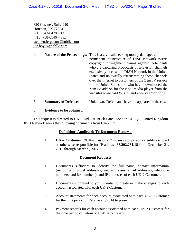820 Gessner, Suite 940 Houston, TX 77024 (713) 343-0478 – Tel  $(713)$  758-0146 – Fax stephen.ferguson@hnbllc.com joe.boyle@hnbllc.com

- 4. **Nature of the Proceedings**: This is a civil suit seeking money damages and permanent injunctive relief. DISH Network asserts copyright infringement claims against Defendants who are capturing broadcasts of television channels exclusively licensed to DISH Network in the United States and unlawfully retransmitting those channels over the Internet to customers of the ZemTV service in the United States and who have downloaded the ZemTV add-on for the Kodi media player from the websites *www.tvaddons.ag* and *www.tvaddons.org.*
- 5. **Summary of Defense**: Unknown. Defendants have not appeared in the case.

# 6. **Evidence to be obtained**:

This request is directed to UK-2 Ltd., 91 Brick Lane, London E1 6QL, United Kingdom. DISH Network seeks the following documents from UK-2 Ltd.:

# **Definitions Applicable To Document Requests**

1. **UK-2 Customer.** "UK-2 Customer" means each person or entity assigned or otherwise responsible for IP address **88.202.231.18** from December 21, 2016 through March 9, 2017.

# **Document Requests**

- 1. Documents sufficient to identify the full name, contact information (including physical addresses, web addresses, email addresses, telephone numbers, and fax numbers), and IP addresses of each UK-2 Customer.
- 2. Documents submitted to you in order to create or make changes to each account associated with each UK-2 Customer.
- 3. Account statements for each account associated with each UK-2 Customer for the time period of February 1, 2014 to present.
- 4. Payment records for each account associated with each UK-2 Customer for the time period of February 1, 2014 to present.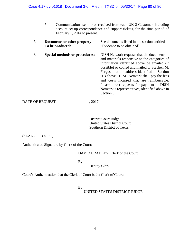- 5. Communications sent to or received from each UK-2 Customer, including account set-up correspondence and support tickets, for the time period of February 1, 2014 to present.
- 7. **Documents or other property** See documents listed in the section entitled **To be produced:** "Evidence to be obtained". 8. **Special methods or procedures:** DISH Network requests that the documents and materials responsive to the categories of information identified above be emailed (if possible) or copied and mailed to Stephen M. Ferguson at the address identified in Section II.3 above. DISH Network shall pay the fees and costs incurred that are reimbursable. Please direct requests for payment to DISH Network's representatives, identified above in Section 3.

DATE OF REQUEST: \_\_\_\_\_\_\_\_\_\_\_\_\_\_\_\_\_, 2017

District Court Judge United States District Court Southern District of Texas

\_\_\_\_\_\_\_\_\_\_\_\_\_\_\_\_\_\_\_\_\_\_\_\_\_\_\_\_\_\_\_\_\_\_

(SEAL OF COURT)

Authenticated Signature by Clerk of the Court:

DAVID BRADLEY, Clerk of the Court

By: \_\_\_\_\_\_\_\_\_\_\_\_\_\_\_\_\_\_\_\_\_\_\_\_\_\_\_\_\_\_\_\_

Deputy Clerk

Court's Authentication that the Clerk of Court is the Clerk of Court:

 $By:$ UNITED STATES DISTRICT JUDGE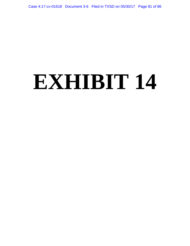# **EXHIBIT 14**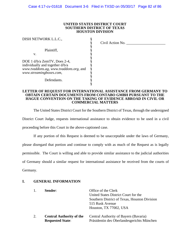#### **UNITED STATES DISTRICT COURT SOUTHERN DISTRICT OF TEXAS HOUSTON DIVISION**

| DISH NETWORK L.L.C.,                   |                  |
|----------------------------------------|------------------|
|                                        | Civil Action No. |
|                                        |                  |
| Plaintiff,                             |                  |
| v.                                     |                  |
|                                        |                  |
| DOE 1 d/b/a ZemTV, Does 2-4,           |                  |
| individually and together d/b/a        |                  |
| www.tvaddons.ag, www.tvaddons.org, and |                  |
| www.streamingboxes.com,                |                  |
|                                        |                  |
| Defendants.                            |                  |
|                                        |                  |
|                                        |                  |

#### **LETTER OF REQUEST FOR INTERNATIONAL ASSISTANCE FROM GERMANY TO OBTAIN CERTAIN DOCUMENTS FROM CONTABO GMBH PURSUANT TO THE HAGUE CONVENTION ON THE TAKING OF EVIDENCE ABROAD IN CIVIL OR COMMERCIAL MATTERS**

The United States District Court for the Southern District of Texas, through the undersigned

District Court Judge, requests international assistance to obtain evidence to be used in a civil proceeding before this Court in the above-captioned case.

If any portion of this Request is deemed to be unacceptable under the laws of Germany,

please disregard that portion and continue to comply with as much of the Request as is legally

permissible. The Court is willing and able to provide similar assistance to the judicial authorities

of Germany should a similar request for international assistance be received from the courts of

Germany.

#### **I. GENERAL INFORMATION**

| 1. | Sender:                                                    | Office of the Clerk<br>United States District Court for the<br>Southern District of Texas, Houston Division<br>515 Rusk Avenue<br>Houston, TX 77002, USA |
|----|------------------------------------------------------------|----------------------------------------------------------------------------------------------------------------------------------------------------------|
| 2. | <b>Central Authority of the</b><br><b>Requested State:</b> | Central Authority of Bayern (Bavaria)<br>Präsidentin des Oberlandesgerichts München                                                                      |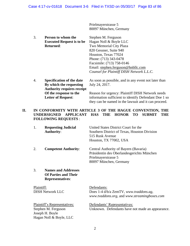Prielmayerstrasse 5 80097 München, Germany

3. **Person to whom the** Stephen M. Ferguson **Executed Request is to be** Hagan Noll & Boyle LLC **Returned:** Two Memorial City Plaza 820 Gessner, Suite 940 Houston, Texas 77024 Phone: (713) 343-0478 Facsimile: (713) 758-0146 Email: stephen.ferguson@hnbllc.com *Counsel for Plaintiff DISH Network L.L.C.* 4. **Specification of the date** As soon as possible, and in any event not later than

# **By which the requesting** July 24, 2017. **Authority requires receipt Of the response to the** Reason for urgency: Plaintiff DISH Network needs **Letter of Request:** information sufficient to identify Defendant Doe 1 so they can be named in the lawsuit and it can proceed.

# **II. IN CONFORMITY WITH ARTICLE 3 OF THE HAGUE CONVENTION, THE UNDERSIGNED APPLICANT HAS THE HONOR TO SUBMIT THE FOLLOWING REQUESTS** :

| 1.         | <b>Requesting Judicial</b><br><b>Authority:</b>                                      | United States District Court for the<br>Southern District of Texas, Houston Division<br>515 Rusk Avenue<br>Houston, TX 77002, USA    |
|------------|--------------------------------------------------------------------------------------|--------------------------------------------------------------------------------------------------------------------------------------|
| 2.         | <b>Competent Authority:</b>                                                          | Central Authority of Bayern (Bavaria)<br>Präsidentin des Oberlandesgerichts München<br>Prielmayerstrasse 5<br>80097 München, Germany |
| 3.         | <b>Names and Addresses</b><br><b>Of Parties and Their</b><br><b>Representatives:</b> |                                                                                                                                      |
| Plaintiff: | <b>DISH Network LLC</b>                                                              | Defendants:<br>Does 1-4 d/b/a ZemTV, www.tvaddons.ag,<br>www.tvaddons.org, and www.streamingboxes.com                                |

| Plaintiff's Representatives: | Defendants' Representatives:                     |
|------------------------------|--------------------------------------------------|
| Stephen M. Ferguson          | Unknown. Defendants have not made an appearance. |
| Joseph H. Boyle              |                                                  |
| Hagan Noll & Boyle, LLC      |                                                  |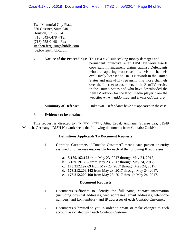Two Memorial City Plaza 820 Gessner, Suite 940 Houston, TX 77024 (713) 343-0478 – Tel  $(713)$  758-0146 – Fax stephen.ferguson@hnbllc.com joe.boyle@hnbllc.com

| 4. | <b>Nature of the Proceedings:</b> This is a civil suit seeking money damages and |
|----|----------------------------------------------------------------------------------|
|    | permanent injunctive relief. DISH Network asserts                                |
|    | copyright infringement claims against Defendants                                 |
|    | who are capturing broadcasts of television channels                              |
|    | exclusively licensed to DISH Network in the United                               |
|    | States and unlawfully retransmitting those channels                              |
|    | over the Internet to customers of the ZemTV service                              |
|    | in the United States and who have downloaded the                                 |
|    | ZemTV add-on for the Kodi media player from the                                  |
|    | websites www.tvaddons.ag and www.tvaddons.org.                                   |
|    |                                                                                  |

# 5. **Summary of Defense**: Unknown. Defendants have not appeared in the case.

# 6. **Evidence to be obtained**:

This request is directed to Contabo GmbH, Attn. Legal, Aschauer Strasse 32a, 81549 Munich, Germany. DISH Network seeks the following documents from Contabo GmbH:

# **Definitions Applicable To Document Requests**

- 1. **Contabo Customer.** "Contabo Customer" means each person or entity assigned or otherwise responsible for each of the following IP addresses:
	- a. **5.189.162.122** from May 23, 2017 through May 24, 2017;
	- b. **5.189.191.205** from May 23, 2017 through May 24, 2017;
	- c. **173.212.192.69** from May 23, 2017 through May 24, 2017;
	- d. **173.212.209.142** from May 23, 2017 through May 24, 2017;
	- e. **173.212.209.160** from May 23, 2017 through May 24, 2017.

## **Document Requests**

- 1. Documents sufficient to identify the full name, contact information (including physical addresses, web addresses, email addresses, telephone numbers, and fax numbers), and IP addresses of each Contabo Customer.
- 2. Documents submitted to you in order to create or make changes to each account associated with each Contabo Customer.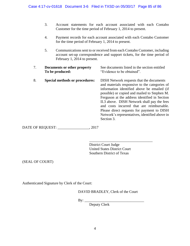- 3. Account statements for each account associated with each Contabo Customer for the time period of February 1, 2014 to present.
- 4. Payment records for each account associated with each Contabo Customer for the time period of February 1, 2014 to present.
- 5. Communications sent to or received from each Contabo Customer, including account set-up correspondence and support tickets, for the time period of February 1, 2014 to present.
- 7. **Documents or other property** See documents listed in the section entitled **To be produced:** "Evidence to be obtained". 8. **Special methods or procedures:** DISH Network requests that the documents and materials responsive to the categories of information identified above be emailed (if possible) or copied and mailed to Stephen M. Ferguson at the address identified in Section II.3 above. DISH Network shall pay the fees and costs incurred that are reimbursable. Please direct requests for payment to DISH Network's representatives, identified above in Section 3.

DATE OF REQUEST: 2017

\_\_\_\_\_\_\_\_\_\_\_\_\_\_\_\_\_\_\_\_\_\_\_\_\_\_\_\_\_\_\_\_\_\_ District Court Judge United States District Court Southern District of Texas

(SEAL OF COURT)

Authenticated Signature by Clerk of the Court:

DAVID BRADLEY, Clerk of the Court

By: \_\_\_\_\_\_\_\_\_\_\_\_\_\_\_\_\_\_\_\_\_\_\_\_\_\_\_\_\_\_\_\_

Deputy Clerk